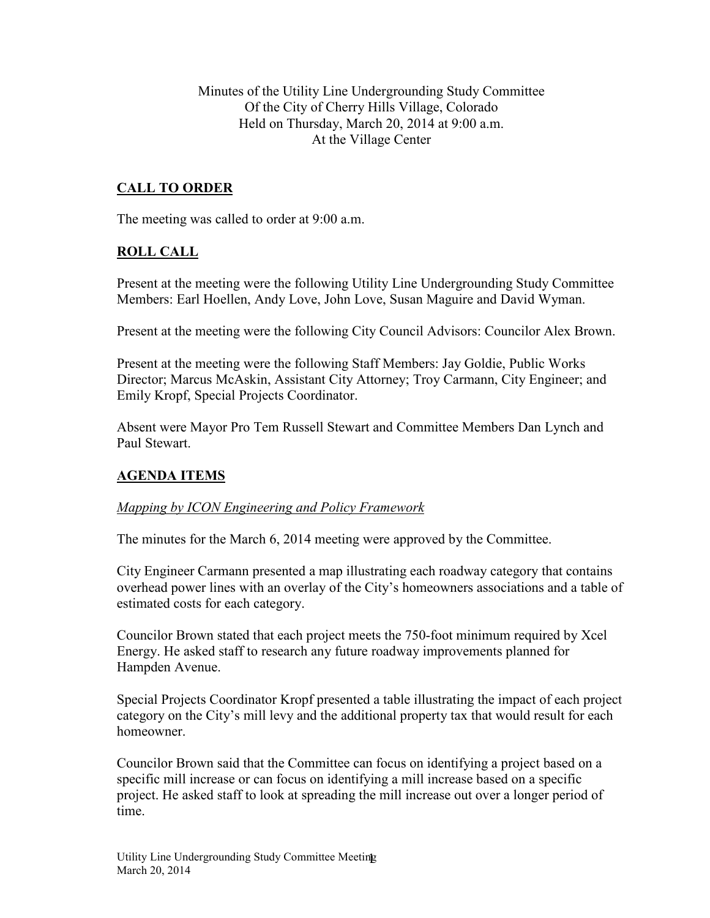Minutes of the Utility Line Undergrounding Study Committee Of the City of Cherry Hills Village, Colorado Held on Thursday, March 20, 2014 at 9:00 a.m. At the Village Center

## **CALL TO ORDER**

The meeting was called to order at 9:00 a.m.

### **ROLL CALL**

Present at the meeting were the following Utility Line Undergrounding Study Committee Members: Earl Hoellen, Andy Love, John Love, Susan Maguire and David Wyman.

Present at the meeting were the following City Council Advisors: Councilor Alex Brown.

Present at the meeting were the following Staff Members: Jay Goldie, Public Works Director; Marcus McAskin, Assistant City Attorney; Troy Carmann, City Engineer; and Emily Kropf, Special Projects Coordinator.

Absent were Mayor Pro Tem Russell Stewart and Committee Members Dan Lynch and Paul Stewart.

### **AGENDA ITEMS**

#### *Mapping by ICON Engineering and Policy Framework*

The minutes for the March 6, 2014 meeting were approved by the Committee.

City Engineer Carmann presented a map illustrating each roadway category that contains overhead power lines with an overlay of the City's homeowners associations and a table of estimated costs for each category.

Councilor Brown stated that each project meets the 750-foot minimum required by Xcel Energy. He asked staff to research any future roadway improvements planned for Hampden Avenue.

Special Projects Coordinator Kropf presented a table illustrating the impact of each project category on the City's mill levy and the additional property tax that would result for each homeowner.

Councilor Brown said that the Committee can focus on identifying a project based on a specific mill increase or can focus on identifying a mill increase based on a specific project. He asked staff to look at spreading the mill increase out over a longer period of time.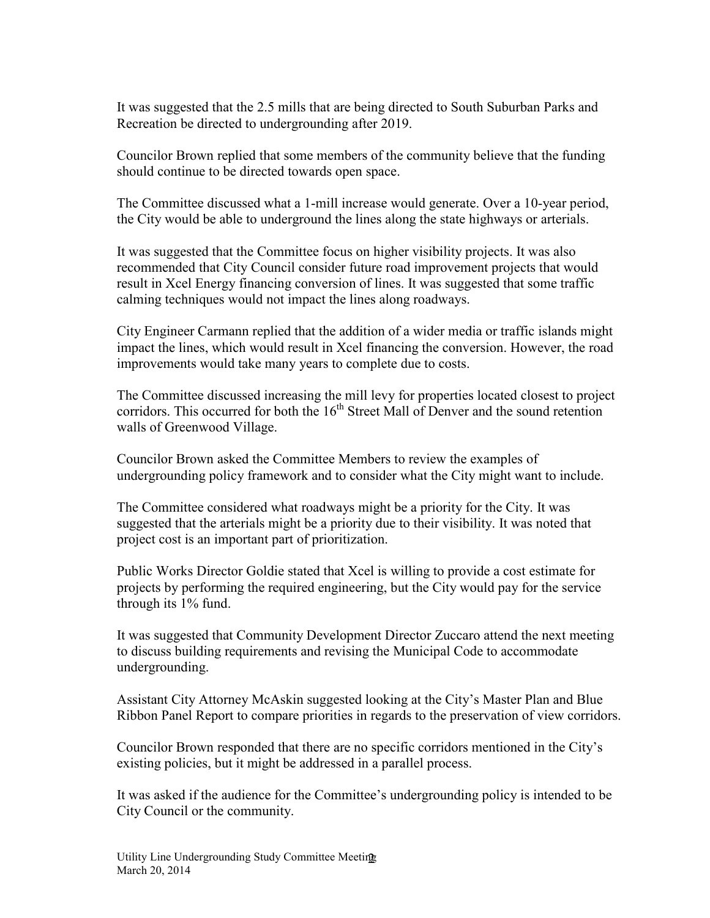It was suggested that the 2.5 mills that are being directed to South Suburban Parks and Recreation be directed to undergrounding after 2019.

Councilor Brown replied that some members of the community believe that the funding should continue to be directed towards open space.

The Committee discussed what a 1-mill increase would generate. Over a 10-year period, the City would be able to underground the lines along the state highways or arterials.

It was suggested that the Committee focus on higher visibility projects. It was also recommended that City Council consider future road improvement projects that would result in Xcel Energy financing conversion of lines. It was suggested that some traffic calming techniques would not impact the lines along roadways.

City Engineer Carmann replied that the addition of a wider media or traffic islands might impact the lines, which would result in Xcel financing the conversion. However, the road improvements would take many years to complete due to costs.

The Committee discussed increasing the mill levy for properties located closest to project corridors. This occurred for both the  $16<sup>th</sup>$  Street Mall of Denver and the sound retention walls of Greenwood Village.

Councilor Brown asked the Committee Members to review the examples of undergrounding policy framework and to consider what the City might want to include.

The Committee considered what roadways might be a priority for the City. It was suggested that the arterials might be a priority due to their visibility. It was noted that project cost is an important part of prioritization.

Public Works Director Goldie stated that Xcel is willing to provide a cost estimate for projects by performing the required engineering, but the City would pay for the service through its 1% fund.

It was suggested that Community Development Director Zuccaro attend the next meeting to discuss building requirements and revising the Municipal Code to accommodate undergrounding.

Assistant City Attorney McAskin suggested looking at the City's Master Plan and Blue Ribbon Panel Report to compare priorities in regards to the preservation of view corridors.

Councilor Brown responded that there are no specific corridors mentioned in the City's existing policies, but it might be addressed in a parallel process.

It was asked if the audience for the Committee's undergrounding policy is intended to be City Council or the community.